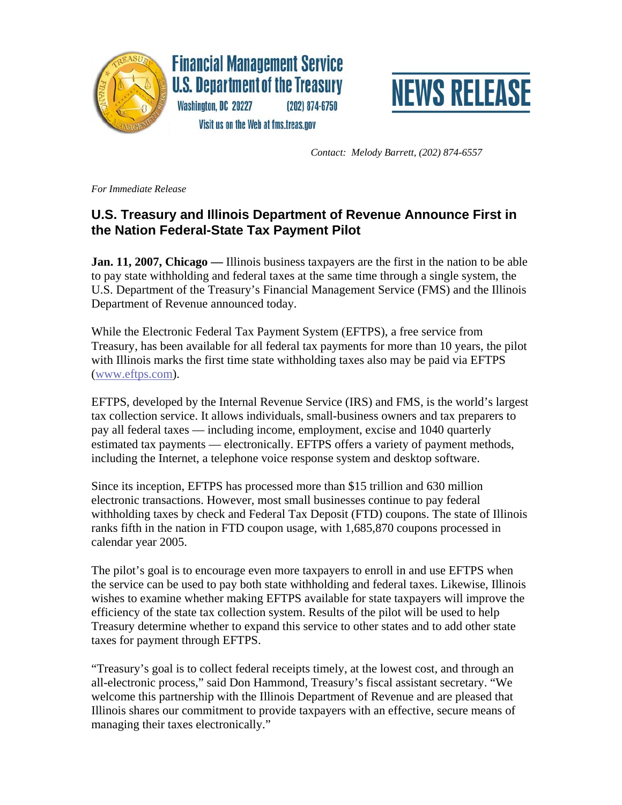

**Financial Management Service U.S. Department of the Treasury** Washington, DC 20227  $(202)$  874-6750



Visit us on the Web at fms.treas.gov

 *Contact: Melody Barrett, (202) 874-6557* 

*For Immediate Release* 

## **U.S. Treasury and Illinois Department of Revenue Announce First in the Nation Federal-State Tax Payment Pilot**

**Jan. 11, 2007, Chicago —** Illinois business taxpayers are the first in the nation to be able to pay state withholding and federal taxes at the same time through a single system, the U.S. Department of the Treasury's Financial Management Service (FMS) and the Illinois Department of Revenue announced today.

While the Electronic Federal Tax Payment System (EFTPS), a free service from Treasury, has been available for all federal tax payments for more than 10 years, the pilot with Illinois marks the first time state withholding taxes also may be paid via EFTPS (www.eftps.com).

EFTPS, developed by the Internal Revenue Service (IRS) and FMS, is the world's largest tax collection service. It allows individuals, small-business owners and tax preparers to pay all federal taxes — including income, employment, excise and 1040 quarterly estimated tax payments — electronically. EFTPS offers a variety of payment methods, including the Internet, a telephone voice response system and desktop software.

Since its inception, EFTPS has processed more than \$15 trillion and 630 million electronic transactions. However, most small businesses continue to pay federal withholding taxes by check and Federal Tax Deposit (FTD) coupons. The state of Illinois ranks fifth in the nation in FTD coupon usage, with 1,685,870 coupons processed in calendar year 2005.

The pilot's goal is to encourage even more taxpayers to enroll in and use EFTPS when the service can be used to pay both state withholding and federal taxes. Likewise, Illinois wishes to examine whether making EFTPS available for state taxpayers will improve the efficiency of the state tax collection system. Results of the pilot will be used to help Treasury determine whether to expand this service to other states and to add other state taxes for payment through EFTPS.

"Treasury's goal is to collect federal receipts timely, at the lowest cost, and through an all-electronic process," said Don Hammond, Treasury's fiscal assistant secretary. "We welcome this partnership with the Illinois Department of Revenue and are pleased that Illinois shares our commitment to provide taxpayers with an effective, secure means of managing their taxes electronically."